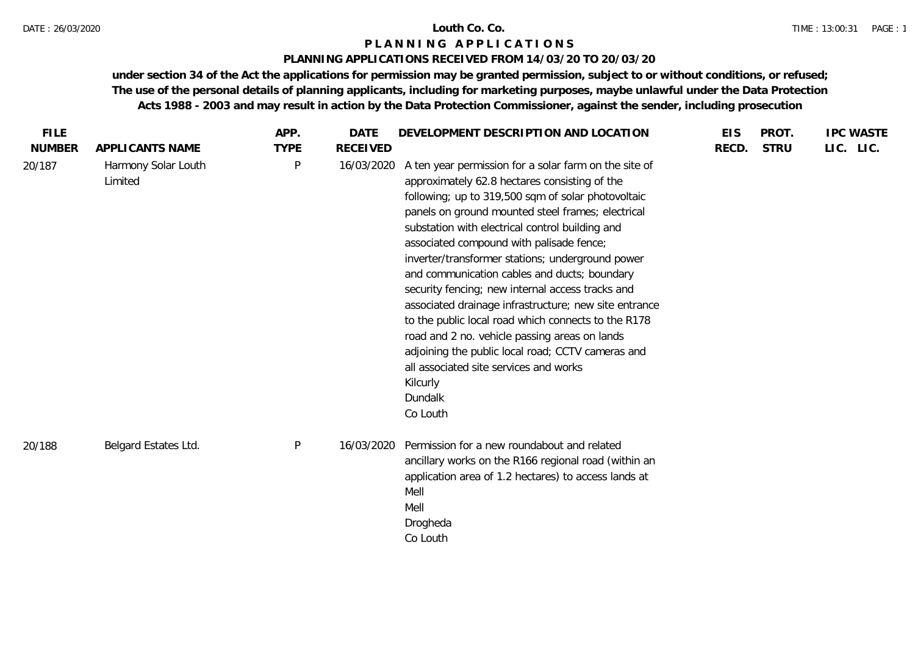### DATE : 26/03/2020 **Louth Co. Co.**

# **P L A N N I N G A P P L I C A T I O N S**

### **PLANNING APPLICATIONS RECEIVED FROM 14/03/20 TO 20/03/20**

| LIC. LIC.<br><b>TYPE</b><br><b>RECEIVED</b><br><b>STRU</b><br>APPLICANTS NAME<br>RECD.<br>$\mathsf{P}$<br>Harmony Solar Louth<br>16/03/2020<br>A ten year permission for a solar farm on the site of<br>20/187<br>Limited<br>approximately 62.8 hectares consisting of the<br>following; up to 319,500 sqm of solar photovoltaic<br>panels on ground mounted steel frames; electrical<br>substation with electrical control building and<br>associated compound with palisade fence;<br>inverter/transformer stations; underground power<br>and communication cables and ducts; boundary<br>security fencing; new internal access tracks and<br>associated drainage infrastructure; new site entrance<br>to the public local road which connects to the R178<br>road and 2 no. vehicle passing areas on lands<br>adjoining the public local road; CCTV cameras and | <b>FILE</b>   | APP. | <b>DATE</b> | DEVELOPMENT DESCRIPTION AND LOCATION   | <b>EIS</b> | PROT. | <b>IPC WASTE</b> |  |
|--------------------------------------------------------------------------------------------------------------------------------------------------------------------------------------------------------------------------------------------------------------------------------------------------------------------------------------------------------------------------------------------------------------------------------------------------------------------------------------------------------------------------------------------------------------------------------------------------------------------------------------------------------------------------------------------------------------------------------------------------------------------------------------------------------------------------------------------------------------------|---------------|------|-------------|----------------------------------------|------------|-------|------------------|--|
|                                                                                                                                                                                                                                                                                                                                                                                                                                                                                                                                                                                                                                                                                                                                                                                                                                                                    | <b>NUMBER</b> |      |             |                                        |            |       |                  |  |
| Kilcurly<br>Dundalk<br>Co Louth<br>${\sf P}$<br>Belgard Estates Ltd.<br>Permission for a new roundabout and related<br>16/03/2020<br>20/188<br>ancillary works on the R166 regional road (within an<br>application area of 1.2 hectares) to access lands at                                                                                                                                                                                                                                                                                                                                                                                                                                                                                                                                                                                                        |               |      |             | all associated site services and works |            |       |                  |  |
| Mell<br>Mell<br>Drogheda<br>Co Louth                                                                                                                                                                                                                                                                                                                                                                                                                                                                                                                                                                                                                                                                                                                                                                                                                               |               |      |             |                                        |            |       |                  |  |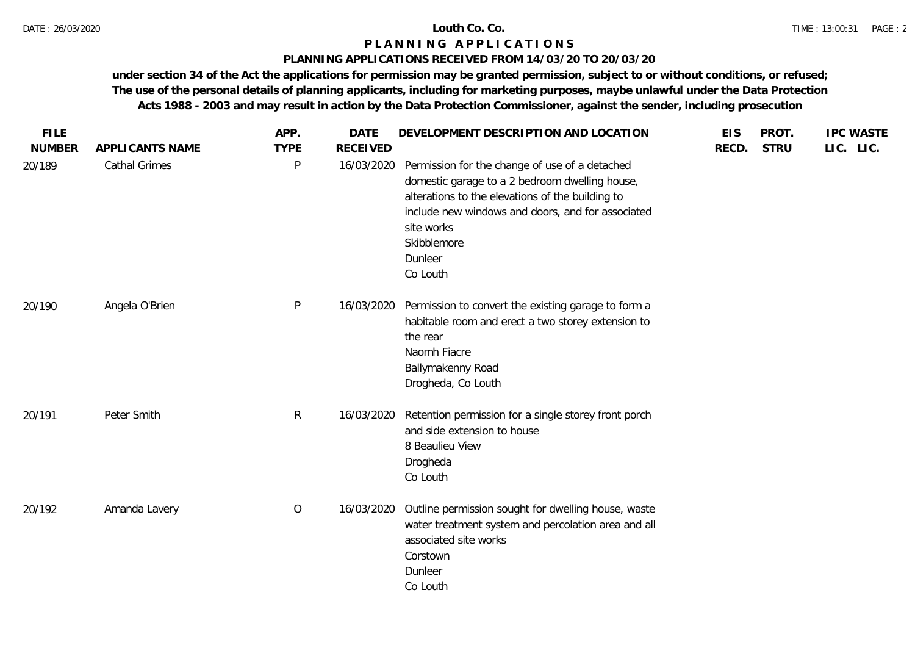# **PLANNING APPLICATIONS RECEIVED FROM 14/03/20 TO 20/03/20**

| <b>FILE</b>   |                      | APP.           | <b>DATE</b>     | DEVELOPMENT DESCRIPTION AND LOCATION                                                                                                                                                                                                                          | <b>EIS</b> | PROT.       | <b>IPC WASTE</b> |
|---------------|----------------------|----------------|-----------------|---------------------------------------------------------------------------------------------------------------------------------------------------------------------------------------------------------------------------------------------------------------|------------|-------------|------------------|
| <b>NUMBER</b> | APPLICANTS NAME      | <b>TYPE</b>    | <b>RECEIVED</b> |                                                                                                                                                                                                                                                               | RECD.      | <b>STRU</b> | LIC. LIC.        |
| 20/189        | <b>Cathal Grimes</b> | P              | 16/03/2020      | Permission for the change of use of a detached<br>domestic garage to a 2 bedroom dwelling house,<br>alterations to the elevations of the building to<br>include new windows and doors, and for associated<br>site works<br>Skibblemore<br>Dunleer<br>Co Louth |            |             |                  |
| 20/190        | Angela O'Brien       | $\mathsf{P}$   | 16/03/2020      | Permission to convert the existing garage to form a<br>habitable room and erect a two storey extension to<br>the rear<br>Naomh Fiacre<br>Ballymakenny Road<br>Drogheda, Co Louth                                                                              |            |             |                  |
| 20/191        | Peter Smith          | $\mathsf{R}$   | 16/03/2020      | Retention permission for a single storey front porch<br>and side extension to house<br>8 Beaulieu View<br>Drogheda<br>Co Louth                                                                                                                                |            |             |                  |
| 20/192        | Amanda Lavery        | $\overline{O}$ | 16/03/2020      | Outline permission sought for dwelling house, waste<br>water treatment system and percolation area and all<br>associated site works<br>Corstown<br>Dunleer<br>Co Louth                                                                                        |            |             |                  |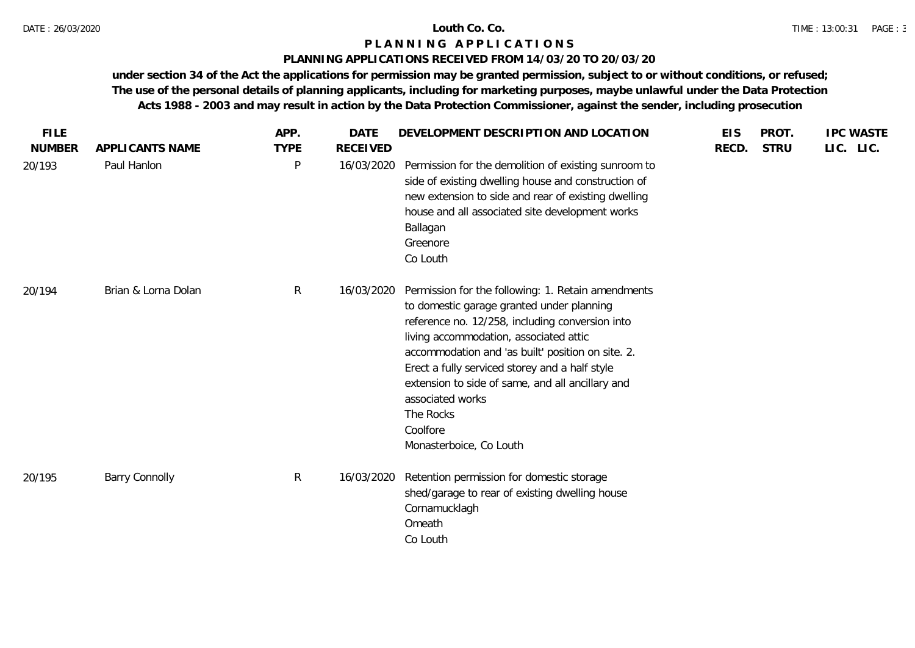# **PLANNING APPLICATIONS RECEIVED FROM 14/03/20 TO 20/03/20**

| <b>FILE</b>             |                                | APP.             | <b>DATE</b>                   | DEVELOPMENT DESCRIPTION AND LOCATION                                                                                                                                                                                                                                                                                                                                                                                            | <b>EIS</b> | PROT.       | <b>IPC WASTE</b> |
|-------------------------|--------------------------------|------------------|-------------------------------|---------------------------------------------------------------------------------------------------------------------------------------------------------------------------------------------------------------------------------------------------------------------------------------------------------------------------------------------------------------------------------------------------------------------------------|------------|-------------|------------------|
| <b>NUMBER</b><br>20/193 | APPLICANTS NAME<br>Paul Hanlon | <b>TYPE</b><br>P | <b>RECEIVED</b><br>16/03/2020 | Permission for the demolition of existing sunroom to<br>side of existing dwelling house and construction of<br>new extension to side and rear of existing dwelling<br>house and all associated site development works<br>Ballagan<br>Greenore<br>Co Louth                                                                                                                                                                       | RECD.      | <b>STRU</b> | LIC. LIC.        |
| 20/194                  | Brian & Lorna Dolan            | $\mathsf{R}$     | 16/03/2020                    | Permission for the following: 1. Retain amendments<br>to domestic garage granted under planning<br>reference no. 12/258, including conversion into<br>living accommodation, associated attic<br>accommodation and 'as built' position on site. 2.<br>Erect a fully serviced storey and a half style<br>extension to side of same, and all ancillary and<br>associated works<br>The Rocks<br>Coolfore<br>Monasterboice, Co Louth |            |             |                  |
| 20/195                  | <b>Barry Connolly</b>          | R                | 16/03/2020                    | Retention permission for domestic storage<br>shed/garage to rear of existing dwelling house<br>Cornamucklagh<br>Omeath<br>Co Louth                                                                                                                                                                                                                                                                                              |            |             |                  |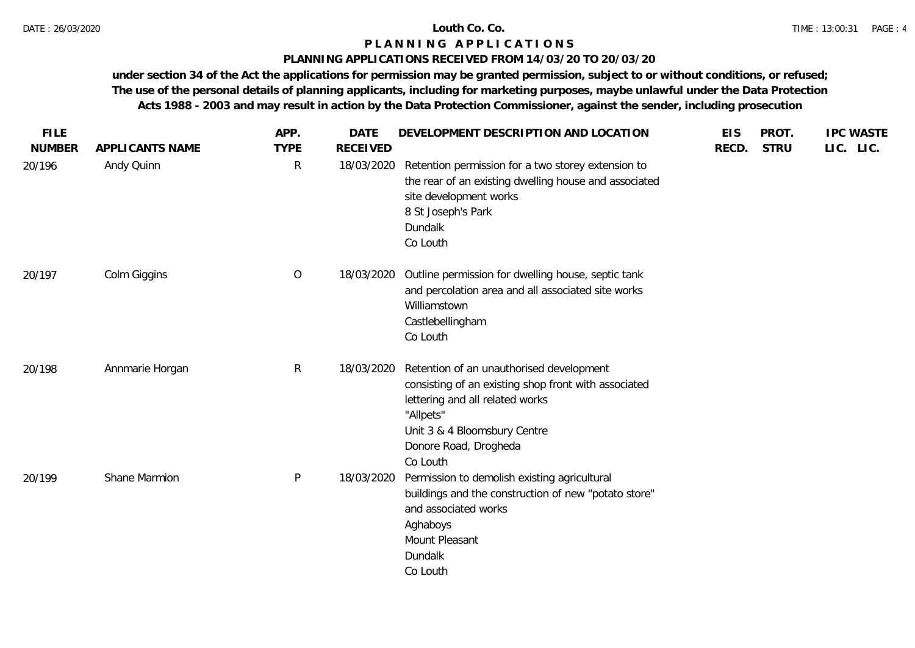# **PLANNING APPLICATIONS RECEIVED FROM 14/03/20 TO 20/03/20**

| <b>FILE</b>   |                 | APP.           | <b>DATE</b>     | DEVELOPMENT DESCRIPTION AND LOCATION                                                                                                                                                                                  | <b>EIS</b> | PROT.       | <b>IPC WASTE</b> |
|---------------|-----------------|----------------|-----------------|-----------------------------------------------------------------------------------------------------------------------------------------------------------------------------------------------------------------------|------------|-------------|------------------|
| <b>NUMBER</b> | APPLICANTS NAME | <b>TYPE</b>    | <b>RECEIVED</b> |                                                                                                                                                                                                                       | RECD.      | <b>STRU</b> | LIC. LIC.        |
| 20/196        | Andy Quinn      | R              | 18/03/2020      | Retention permission for a two storey extension to<br>the rear of an existing dwelling house and associated<br>site development works<br>8 St Joseph's Park<br>Dundalk<br>Co Louth                                    |            |             |                  |
| 20/197        | Colm Giggins    | $\overline{O}$ | 18/03/2020      | Outline permission for dwelling house, septic tank<br>and percolation area and all associated site works<br>Williamstown<br>Castlebellingham<br>Co Louth                                                              |            |             |                  |
| 20/198        | Annmarie Horgan | $\mathsf{R}$   | 18/03/2020      | Retention of an unauthorised development<br>consisting of an existing shop front with associated<br>lettering and all related works<br>"Allpets"<br>Unit 3 & 4 Bloomsbury Centre<br>Donore Road, Drogheda<br>Co Louth |            |             |                  |
| 20/199        | Shane Marmion   | P              | 18/03/2020      | Permission to demolish existing agricultural<br>buildings and the construction of new "potato store"<br>and associated works<br>Aghaboys<br>Mount Pleasant<br>Dundalk<br>Co Louth                                     |            |             |                  |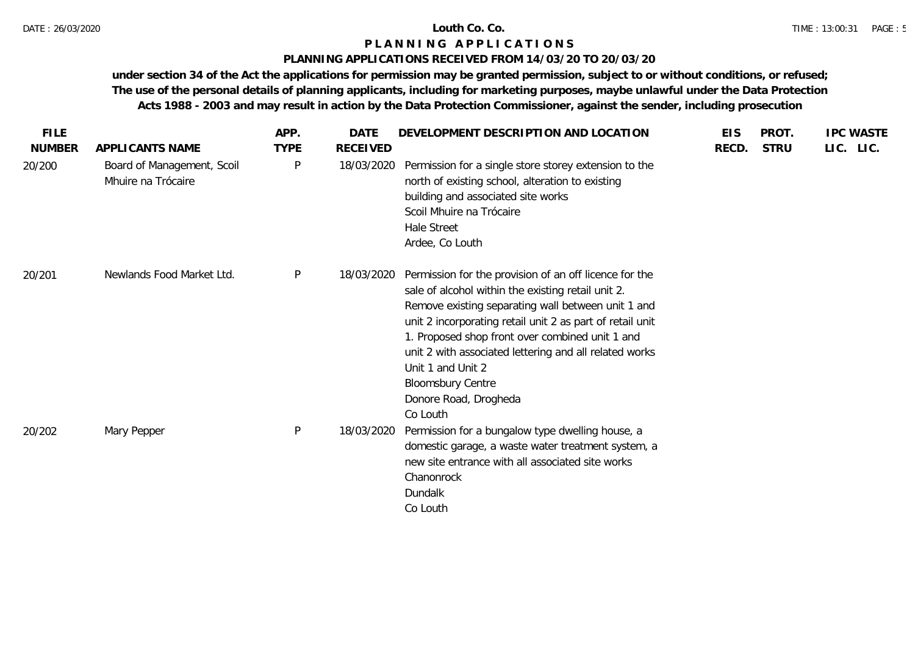# **PLANNING APPLICATIONS RECEIVED FROM 14/03/20 TO 20/03/20**

| <b>FILE</b>   |                                                  | APP.        | <b>DATE</b>     | DEVELOPMENT DESCRIPTION AND LOCATION                                                                                                                                                                                                                                                                                                                                                                                               | <b>EIS</b> | PROT.       | <b>IPC WASTE</b> |
|---------------|--------------------------------------------------|-------------|-----------------|------------------------------------------------------------------------------------------------------------------------------------------------------------------------------------------------------------------------------------------------------------------------------------------------------------------------------------------------------------------------------------------------------------------------------------|------------|-------------|------------------|
| <b>NUMBER</b> | APPLICANTS NAME                                  | <b>TYPE</b> | <b>RECEIVED</b> |                                                                                                                                                                                                                                                                                                                                                                                                                                    | RECD.      | <b>STRU</b> | LIC. LIC.        |
| 20/200        | Board of Management, Scoil<br>Mhuire na Trócaire | P           | 18/03/2020      | Permission for a single store storey extension to the<br>north of existing school, alteration to existing<br>building and associated site works<br>Scoil Mhuire na Trócaire<br><b>Hale Street</b><br>Ardee, Co Louth                                                                                                                                                                                                               |            |             |                  |
| 20/201        | Newlands Food Market Ltd.                        | P           | 18/03/2020      | Permission for the provision of an off licence for the<br>sale of alcohol within the existing retail unit 2.<br>Remove existing separating wall between unit 1 and<br>unit 2 incorporating retail unit 2 as part of retail unit<br>1. Proposed shop front over combined unit 1 and<br>unit 2 with associated lettering and all related works<br>Unit 1 and Unit 2<br><b>Bloomsbury Centre</b><br>Donore Road, Drogheda<br>Co Louth |            |             |                  |
| 20/202        | Mary Pepper                                      | P           | 18/03/2020      | Permission for a bungalow type dwelling house, a<br>domestic garage, a waste water treatment system, a<br>new site entrance with all associated site works<br>Chanonrock<br>Dundalk<br>Co Louth                                                                                                                                                                                                                                    |            |             |                  |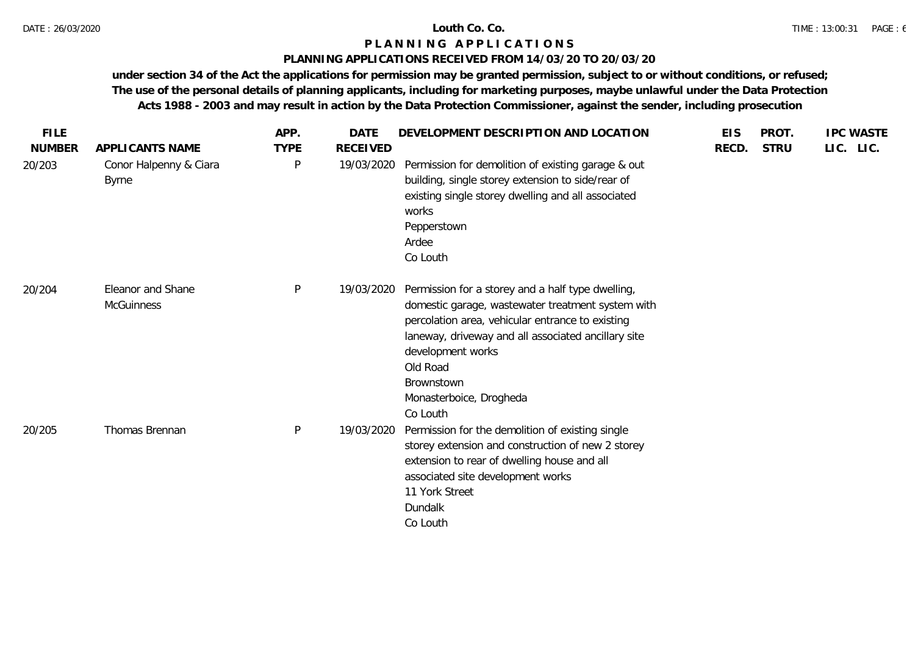# **PLANNING APPLICATIONS RECEIVED FROM 14/03/20 TO 20/03/20**

| <b>FILE</b>   |                                        | APP.        | <b>DATE</b>     | DEVELOPMENT DESCRIPTION AND LOCATION                                                                                                                                                                                                                                                                    | <b>EIS</b> | PROT.       | <b>IPC WASTE</b> |
|---------------|----------------------------------------|-------------|-----------------|---------------------------------------------------------------------------------------------------------------------------------------------------------------------------------------------------------------------------------------------------------------------------------------------------------|------------|-------------|------------------|
| <b>NUMBER</b> | APPLICANTS NAME                        | <b>TYPE</b> | <b>RECEIVED</b> |                                                                                                                                                                                                                                                                                                         | RECD.      | <b>STRU</b> | LIC. LIC.        |
| 20/203        | Conor Halpenny & Ciara<br><b>Byrne</b> | P           | 19/03/2020      | Permission for demolition of existing garage & out<br>building, single storey extension to side/rear of<br>existing single storey dwelling and all associated<br>works<br>Pepperstown<br>Ardee<br>Co Louth                                                                                              |            |             |                  |
| 20/204        | Eleanor and Shane<br><b>McGuinness</b> | P           | 19/03/2020      | Permission for a storey and a half type dwelling,<br>domestic garage, wastewater treatment system with<br>percolation area, vehicular entrance to existing<br>laneway, driveway and all associated ancillary site<br>development works<br>Old Road<br>Brownstown<br>Monasterboice, Drogheda<br>Co Louth |            |             |                  |
| 20/205        | Thomas Brennan                         | P           | 19/03/2020      | Permission for the demolition of existing single<br>storey extension and construction of new 2 storey<br>extension to rear of dwelling house and all<br>associated site development works<br>11 York Street<br>Dundalk<br>Co Louth                                                                      |            |             |                  |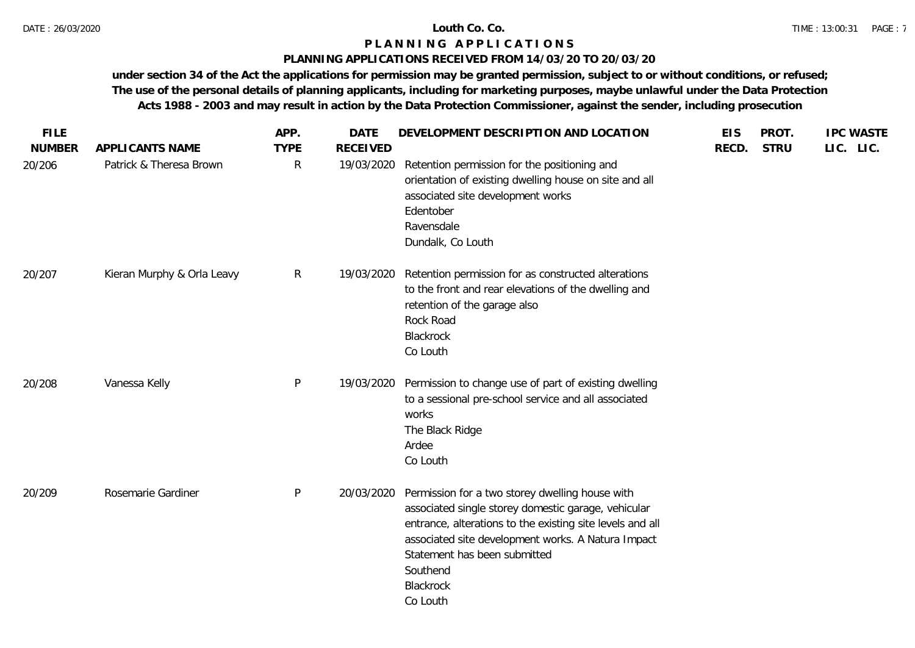# **PLANNING APPLICATIONS RECEIVED FROM 14/03/20 TO 20/03/20**

| <b>FILE</b>             |                                            | APP.                        | <b>DATE</b>                   | DEVELOPMENT DESCRIPTION AND LOCATION                                                                                                                                                                                                                                                           | <b>EIS</b> | PROT.       | <b>IPC WASTE</b> |
|-------------------------|--------------------------------------------|-----------------------------|-------------------------------|------------------------------------------------------------------------------------------------------------------------------------------------------------------------------------------------------------------------------------------------------------------------------------------------|------------|-------------|------------------|
| <b>NUMBER</b><br>20/206 | APPLICANTS NAME<br>Patrick & Theresa Brown | <b>TYPE</b><br>$\mathsf{R}$ | <b>RECEIVED</b><br>19/03/2020 | Retention permission for the positioning and<br>orientation of existing dwelling house on site and all<br>associated site development works<br>Edentober<br>Ravensdale<br>Dundalk, Co Louth                                                                                                    | RECD.      | <b>STRU</b> | LIC. LIC.        |
| 20/207                  | Kieran Murphy & Orla Leavy                 | R                           | 19/03/2020                    | Retention permission for as constructed alterations<br>to the front and rear elevations of the dwelling and<br>retention of the garage also<br>Rock Road<br>Blackrock<br>Co Louth                                                                                                              |            |             |                  |
| 20/208                  | Vanessa Kelly                              | P                           | 19/03/2020                    | Permission to change use of part of existing dwelling<br>to a sessional pre-school service and all associated<br>works<br>The Black Ridge<br>Ardee<br>Co Louth                                                                                                                                 |            |             |                  |
| 20/209                  | Rosemarie Gardiner                         | P                           | 20/03/2020                    | Permission for a two storey dwelling house with<br>associated single storey domestic garage, vehicular<br>entrance, alterations to the existing site levels and all<br>associated site development works. A Natura Impact<br>Statement has been submitted<br>Southend<br>Blackrock<br>Co Louth |            |             |                  |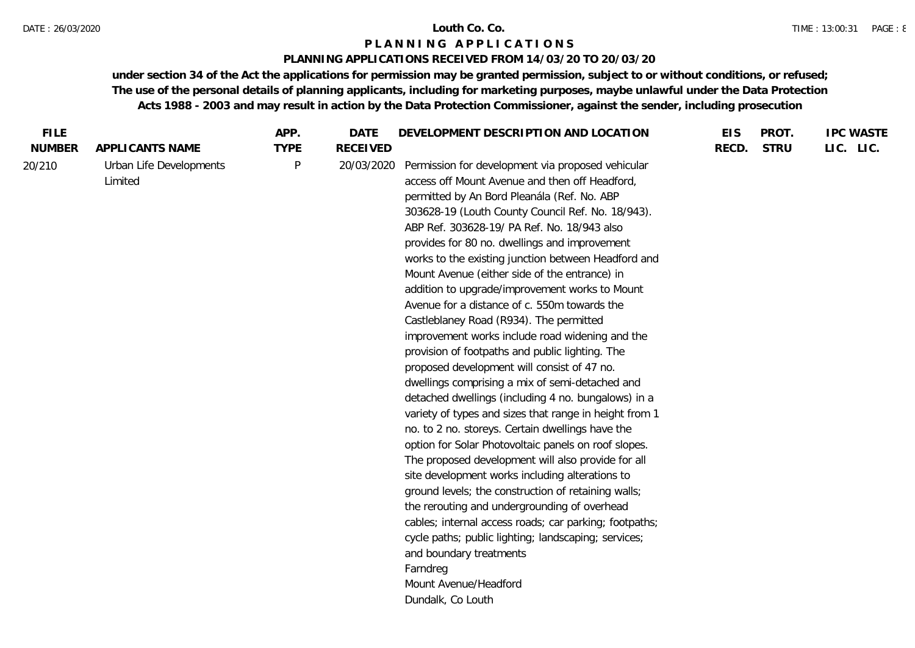### DATE : 26/03/2020 **Louth Co. Co.**

# **P L A N N I N G A P P L I C A T I O N S**

# **PLANNING APPLICATIONS RECEIVED FROM 14/03/20 TO 20/03/20**

| <b>FILE</b>   |                                    | APP.        | <b>DATE</b>     | DEVELOPMENT DESCRIPTION AND LOCATION                                                                                                                                                                                                                                                                                                                                                                                                                                                                                                                                                                                                                                                                                                                                                                                                                                                                                                                                                                                                                                                                                                                                                                                                                                                                                                                                                                                     | <b>EIS</b> | PROT.       | <b>IPC WASTE</b> |
|---------------|------------------------------------|-------------|-----------------|--------------------------------------------------------------------------------------------------------------------------------------------------------------------------------------------------------------------------------------------------------------------------------------------------------------------------------------------------------------------------------------------------------------------------------------------------------------------------------------------------------------------------------------------------------------------------------------------------------------------------------------------------------------------------------------------------------------------------------------------------------------------------------------------------------------------------------------------------------------------------------------------------------------------------------------------------------------------------------------------------------------------------------------------------------------------------------------------------------------------------------------------------------------------------------------------------------------------------------------------------------------------------------------------------------------------------------------------------------------------------------------------------------------------------|------------|-------------|------------------|
| <b>NUMBER</b> | APPLICANTS NAME                    | <b>TYPE</b> | <b>RECEIVED</b> |                                                                                                                                                                                                                                                                                                                                                                                                                                                                                                                                                                                                                                                                                                                                                                                                                                                                                                                                                                                                                                                                                                                                                                                                                                                                                                                                                                                                                          | RECD.      | <b>STRU</b> | LIC. LIC.        |
| 20/210        | Urban Life Developments<br>Limited | P           | 20/03/2020      | Permission for development via proposed vehicular<br>access off Mount Avenue and then off Headford,<br>permitted by An Bord Pleanála (Ref. No. ABP<br>303628-19 (Louth County Council Ref. No. 18/943).<br>ABP Ref. 303628-19/ PA Ref. No. 18/943 also<br>provides for 80 no. dwellings and improvement<br>works to the existing junction between Headford and<br>Mount Avenue (either side of the entrance) in<br>addition to upgrade/improvement works to Mount<br>Avenue for a distance of c. 550m towards the<br>Castleblaney Road (R934). The permitted<br>improvement works include road widening and the<br>provision of footpaths and public lighting. The<br>proposed development will consist of 47 no.<br>dwellings comprising a mix of semi-detached and<br>detached dwellings (including 4 no. bungalows) in a<br>variety of types and sizes that range in height from 1<br>no. to 2 no. storeys. Certain dwellings have the<br>option for Solar Photovoltaic panels on roof slopes.<br>The proposed development will also provide for all<br>site development works including alterations to<br>ground levels; the construction of retaining walls;<br>the rerouting and undergrounding of overhead<br>cables; internal access roads; car parking; footpaths;<br>cycle paths; public lighting; landscaping; services;<br>and boundary treatments<br>Farndreg<br>Mount Avenue/Headford<br>Dundalk, Co Louth |            |             |                  |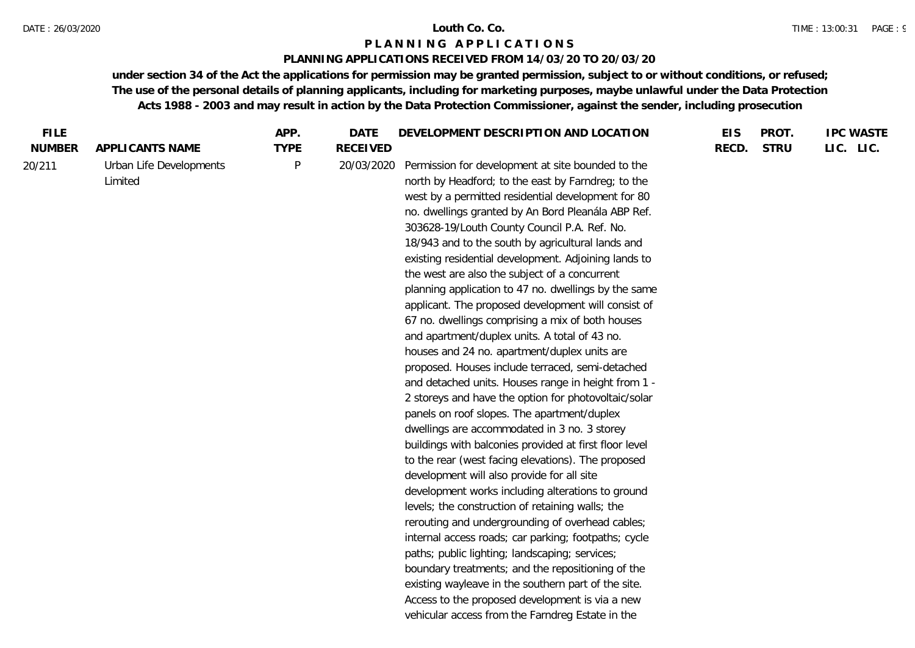### **PLANNING APPLICATIONS RECEIVED FROM 14/03/20 TO 20/03/20**

| <b>FILE</b>   |                         | APP.        | <b>DATE</b>     | DEVELOPMENT DESCRIPTION AND LOCATION                   | <b>EIS</b> | PROT.       | <b>IPC WASTE</b> |
|---------------|-------------------------|-------------|-----------------|--------------------------------------------------------|------------|-------------|------------------|
| <b>NUMBER</b> | APPLICANTS NAME         | <b>TYPE</b> | <b>RECEIVED</b> |                                                        | RECD.      | <b>STRU</b> | LIC. LIC.        |
| 20/211        | Urban Life Developments | P           | 20/03/2020      | Permission for development at site bounded to the      |            |             |                  |
|               | Limited                 |             |                 | north by Headford; to the east by Farndreg; to the     |            |             |                  |
|               |                         |             |                 | west by a permitted residential development for 80     |            |             |                  |
|               |                         |             |                 | no. dwellings granted by An Bord Pleanála ABP Ref.     |            |             |                  |
|               |                         |             |                 | 303628-19/Louth County Council P.A. Ref. No.           |            |             |                  |
|               |                         |             |                 | 18/943 and to the south by agricultural lands and      |            |             |                  |
|               |                         |             |                 | existing residential development. Adjoining lands to   |            |             |                  |
|               |                         |             |                 | the west are also the subject of a concurrent          |            |             |                  |
|               |                         |             |                 | planning application to 47 no. dwellings by the same   |            |             |                  |
|               |                         |             |                 | applicant. The proposed development will consist of    |            |             |                  |
|               |                         |             |                 | 67 no. dwellings comprising a mix of both houses       |            |             |                  |
|               |                         |             |                 | and apartment/duplex units. A total of 43 no.          |            |             |                  |
|               |                         |             |                 | houses and 24 no. apartment/duplex units are           |            |             |                  |
|               |                         |             |                 | proposed. Houses include terraced, semi-detached       |            |             |                  |
|               |                         |             |                 | and detached units. Houses range in height from 1 -    |            |             |                  |
|               |                         |             |                 | 2 storeys and have the option for photovoltaic/solar   |            |             |                  |
|               |                         |             |                 | panels on roof slopes. The apartment/duplex            |            |             |                  |
|               |                         |             |                 | dwellings are accommodated in 3 no. 3 storey           |            |             |                  |
|               |                         |             |                 | buildings with balconies provided at first floor level |            |             |                  |
|               |                         |             |                 | to the rear (west facing elevations). The proposed     |            |             |                  |
|               |                         |             |                 | development will also provide for all site             |            |             |                  |
|               |                         |             |                 | development works including alterations to ground      |            |             |                  |
|               |                         |             |                 | levels; the construction of retaining walls; the       |            |             |                  |
|               |                         |             |                 | rerouting and undergrounding of overhead cables;       |            |             |                  |
|               |                         |             |                 | internal access roads; car parking; footpaths; cycle   |            |             |                  |
|               |                         |             |                 | paths; public lighting; landscaping; services;         |            |             |                  |
|               |                         |             |                 | boundary treatments; and the repositioning of the      |            |             |                  |
|               |                         |             |                 | existing wayleave in the southern part of the site.    |            |             |                  |
|               |                         |             |                 | Access to the proposed development is via a new        |            |             |                  |
|               |                         |             |                 | vehicular access from the Farndreg Estate in the       |            |             |                  |
|               |                         |             |                 |                                                        |            |             |                  |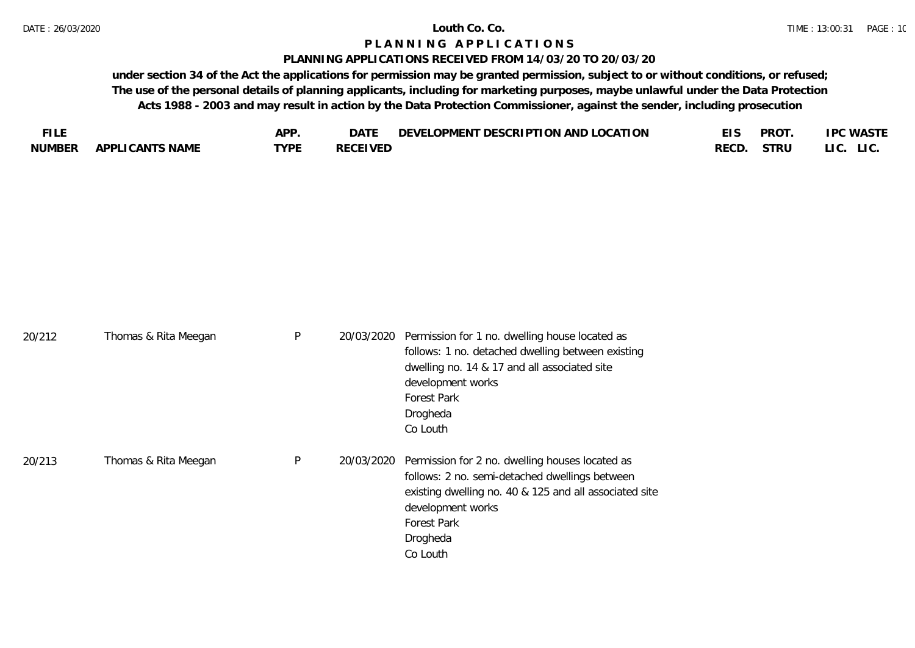20/212 Thomas & Rita Meedan

### **P L A N N I N G A P P L I C A T I O N S**

### **PLANNING APPLICATIONS RECEIVED FROM 14/03/20 TO 20/03/20**

**under section 34 of the Act the applications for permission may be granted permission, subject to or without conditions, or refused; The use of the personal details of planning applicants, including for marketing purposes, maybe unlawful under the Data Protection Acts 1988 - 2003 and may result in action by the Data Protection Commissioner, against the sender, including prosecution**

| FU F          |                        | ADD.             | DAT)           | TON AND LOCATION<br><b>DESCRIPTI</b><br>LOPMENT<br><b>DEVEI</b> |      | <b>PROT</b> | .PC WASTE     |
|---------------|------------------------|------------------|----------------|-----------------------------------------------------------------|------|-------------|---------------|
| <b>NUMBER</b> | <b>APPLICANTS NAME</b> | TVDE<br><u>_</u> | RECEIVED<br>ᅛᄂ |                                                                 | RECD | STRU        | LIC.<br>LI C. |

P 20/03/2020 Permission for 1 no. dwelling house located as

| 20/212 | <b>THOMAG &amp; KILG MCCGGM</b> |   | 2070072020 TUTTINGULTUR THU, UNUCHING HOUSE ROUTED US<br>follows: 1 no. detached dwelling between existing<br>dwelling no. 14 & 17 and all associated site<br>development works<br><b>Forest Park</b><br>Drogheda                              |
|--------|---------------------------------|---|------------------------------------------------------------------------------------------------------------------------------------------------------------------------------------------------------------------------------------------------|
| 20/213 | Thomas & Rita Meegan            | P | Co Louth<br>20/03/2020 Permission for 2 no. dwelling houses located as<br>follows: 2 no. semi-detached dwellings between<br>existing dwelling no. 40 & 125 and all associated site<br>development works<br>Forest Park<br>Drogheda<br>Co Louth |